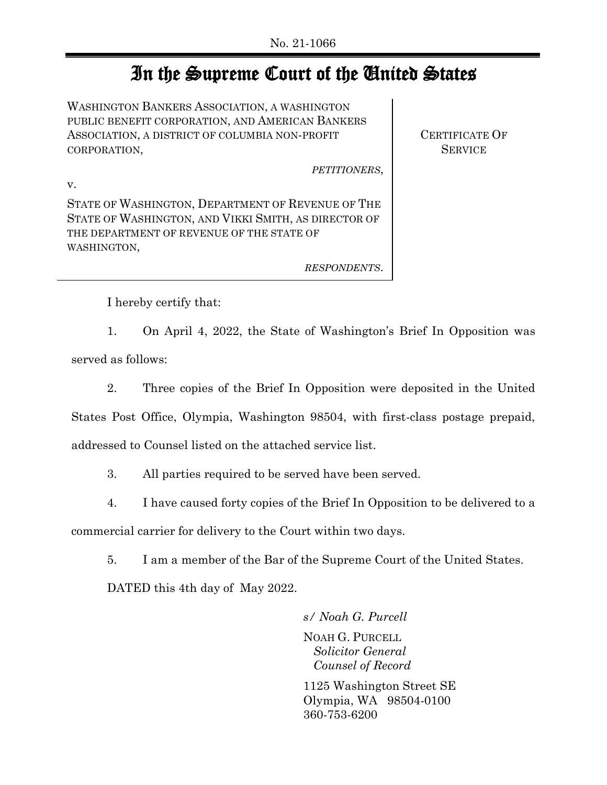## In the Supreme Court of the United States

WASHINGTON BANKERS ASSOCIATION, A WASHINGTON PUBLIC BENEFIT CORPORATION, AND AMERICAN BANKERS ASSOCIATION, A DISTRICT OF COLUMBIA NON-PROFIT CORPORATION,

*PETITIONERS*,

CERTIFICATE OF **SERVICE** 

v.

STATE OF WASHINGTON, DEPARTMENT OF REVENUE OF THE STATE OF WASHINGTON, AND VIKKI SMITH, AS DIRECTOR OF THE DEPARTMENT OF REVENUE OF THE STATE OF WASHINGTON,

*RESPONDENTS*.

I hereby certify that:

1. On April 4, 2022, the State of Washington's Brief In Opposition was

served as follows:

2. Three copies of the Brief In Opposition were deposited in the United

States Post Office, Olympia, Washington 98504, with first-class postage prepaid,

addressed to Counsel listed on the attached service list.

3. All parties required to be served have been served.

4. I have caused forty copies of the Brief In Opposition to be delivered to a

commercial carrier for delivery to the Court within two days.

5. I am a member of the Bar of the Supreme Court of the United States.

DATED this 4th day of May 2022.

*s/ Noah G. Purcell* NOAH G. PURCELL  *Solicitor General Counsel of Record*

1125 Washington Street SE Olympia, WA 98504-0100 360-753-6200